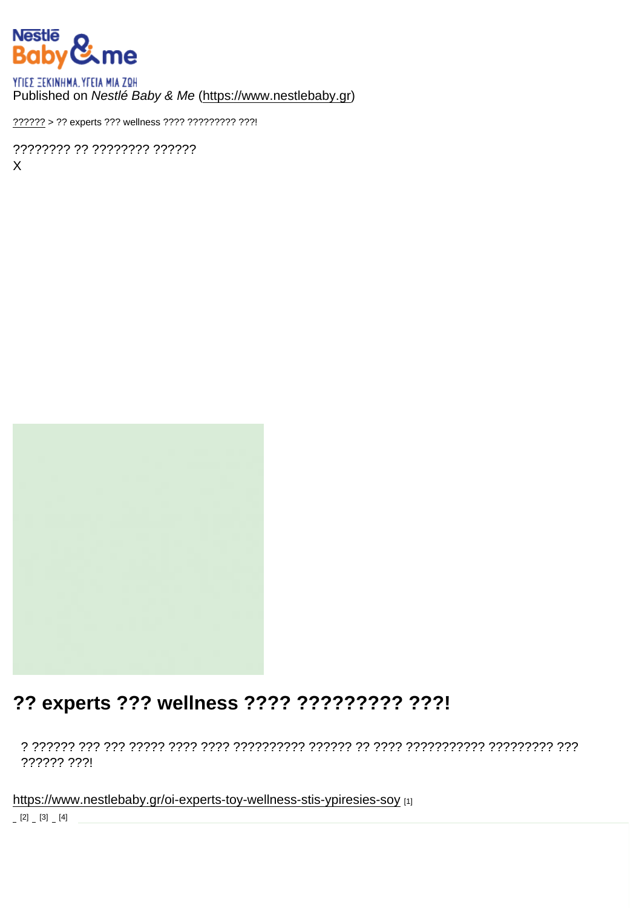#### Published on Nestlé Baby & Me [\(https://www.nestlebaby.gr](https://www.nestlebaby.gr))

[??????](https://www.nestlebaby.gr/) > ?? experts ??? wellness ???? ????????? ???!

???????? ?? ???????? ?????? X

## ?? experts ??? wellness ???? ????????? ???!

? ?????? ??? ??? ????? ???? ???? ?????????? ?????? ?? ???? ??????????? ????????? ??? ?????? ???!

<https://www.nestlebaby.gr/oi-experts-toy-wellness-stis-ypiresies-soy> [1]  $[2]$   $[3]$   $[4]$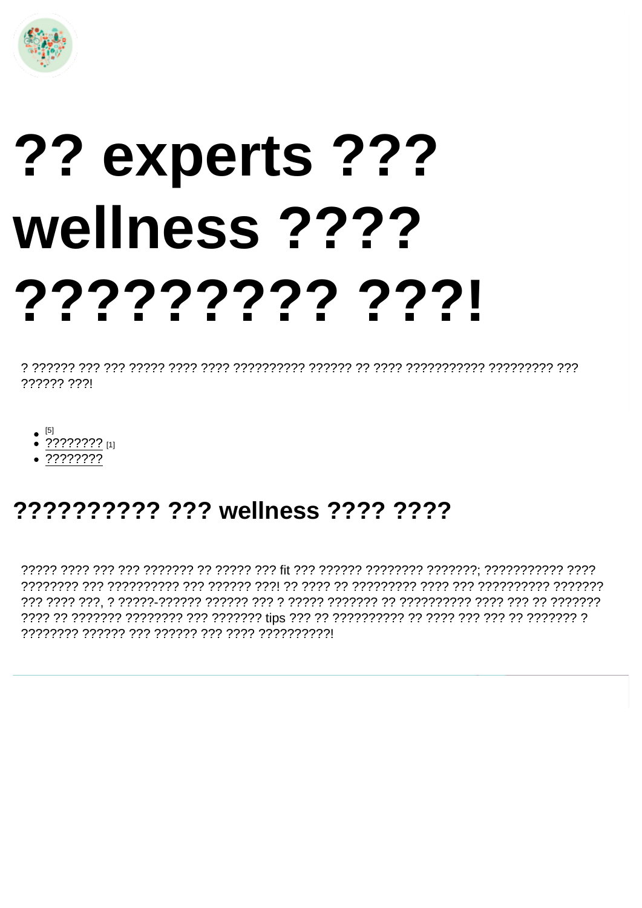# ?? experts ??? wellness ???? 7777777777771

777777 7771

- 
- ???????? [1]
- $.77777777$

# ?????????? ??? wellness ???? ????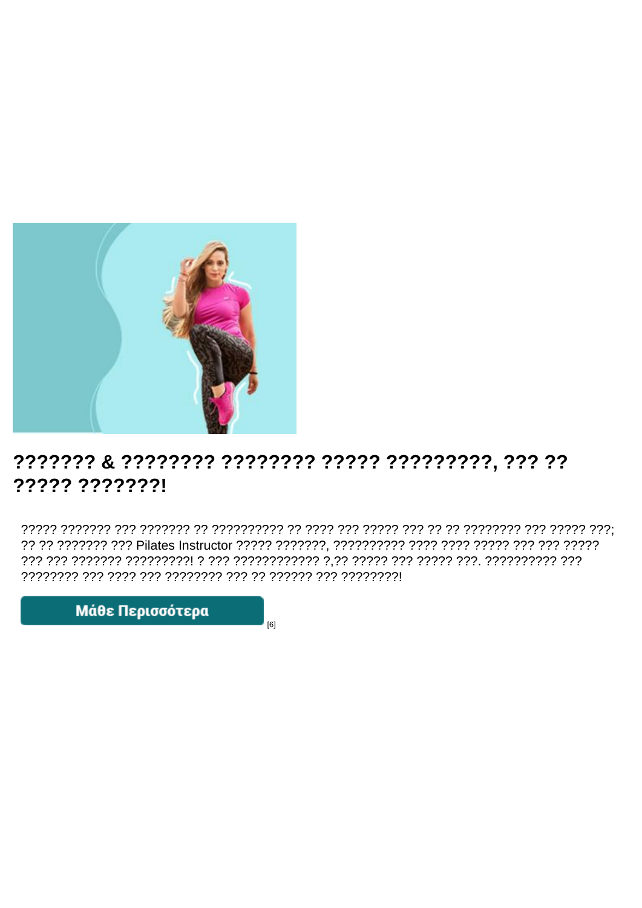### ????? ???????!

 $[6]$